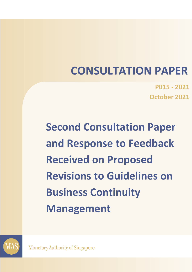# **CONSULTATION PAPER**

**P015 - 2021 October 2021**

**Second Consultation Paper and Response to Feedback Received on Proposed Revisions to Guidelines on Business Continuity Management** 



**Monetary Authority of Singapore**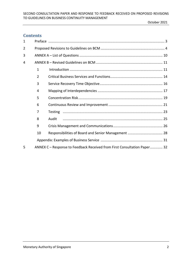## **Contents**

| $\mathbf{1}$ |                                                                          |       |  |  |
|--------------|--------------------------------------------------------------------------|-------|--|--|
| 2            |                                                                          |       |  |  |
| 3            |                                                                          |       |  |  |
| 4            |                                                                          |       |  |  |
|              | $\mathbf{1}$                                                             |       |  |  |
|              | $\overline{2}$                                                           |       |  |  |
|              | 3                                                                        |       |  |  |
|              | 4                                                                        |       |  |  |
|              | 5                                                                        |       |  |  |
|              | 6                                                                        |       |  |  |
|              | 7                                                                        |       |  |  |
|              | 8                                                                        | Audit |  |  |
|              | 9                                                                        |       |  |  |
|              | 10                                                                       |       |  |  |
|              |                                                                          |       |  |  |
| 5            | ANNEX C – Response to Feedback Received from First Consultation Paper 32 |       |  |  |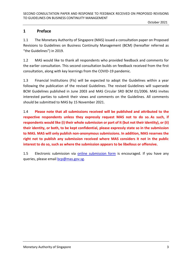## <span id="page-2-0"></span>**1 Preface**

1.1 The Monetary Authority of Singapore (MAS) issued a consultation paper on Proposed Revisions to Guidelines on Business Continuity Management (BCM) (hereafter referred as "the Guidelines") in 2019.

1.2 MAS would like to thank all respondents who provided feedback and comments for the earlier consultation. This second consultation builds on feedback received from the first consultation, along with key learnings from the COVID-19 pandemic.

1.3 Financial Institutions (FIs) will be expected to adopt the Guidelines within a year following the publication of the revised Guidelines. The revised Guidelines will supersede BCM Guidelines published in June 2003 and MAS Circular SRD BCM 01/2006. MAS invites interested parties to submit their views and comments on the Guidelines. All comments should be submitted to MAS by 15 November 2021.

1.4 **Please note that all submissions received will be published and attributed to the respective respondents unless they expressly request MAS not to do so. As such, if respondents would like (i) their whole submission or part of it (but not their identity), or (ii) their identity, or both, to be kept confidential, please expressly state so in the submission to MAS. MAS will only publish non-anonymous submissions. In addition, MAS reserves the right not to publish any submission received where MAS considers it not in the public interest to do so, such as where the submission appears to be libellous or offensive.** 

1.5 Electronic submission via **[online submission form](https://form.gov.sg/6153c17838e3110012b63fa4)** is encouraged. If you have any queries, please email **bcp@mas.gov.sg**.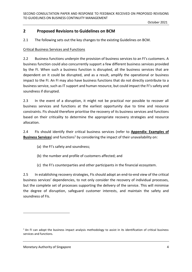## <span id="page-3-0"></span>**2 Proposed Revisions to Guidelines on BCM**

2.1 The following sets out the key changes to the existing Guidelines on BCM.

#### Critical Business Services and Functions

2.2 Business functions underpin the provision of business services to an FI's customers. A business function could also concurrently support a few different business services provided by the FI. When such a business function is disrupted, all the business services that are dependent on it could be disrupted, and as a result, amplify the operational or business impact to the FI. An FI may also have business functions that do not directly contribute to a business service, such as IT support and human resource, but could impact the FI's safety and soundness if disrupted.

2.3 In the event of a disruption, it might not be practical nor possible to recover all business services and functions at the earliest opportunity due to time and resource constraints. FIs should therefore prioritise the recovery of its business services and functions based on their criticality to determine the appropriate recovery strategies and resource allocation.

2.4 FIs should identify their critical business services (refer to **Appendix: Examples of Business Services**) and functions<sup>1</sup> by considering the impact of their unavailability on:

- (a) the FI's safety and soundness;
- (b) the number and profile of customers affected; and
- (c) the FI's counterparties and other participants in the financial ecosystem.

2.5 In establishing recovery strategies, FIs should adopt an end-to-end view of the critical business services' dependencies, to not only consider the recovery of individual processes, but the complete set of processes supporting the delivery of the service. This will minimise the degree of disruption, safeguard customer interests, and maintain the safety and soundness of FIs.

 $<sup>1</sup>$  An FI can adopt the business impact analysis methodology to assist in its identification of critical business</sup> services and functions.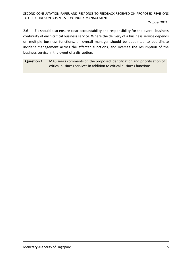2.6 FIs should also ensure clear accountability and responsibility for the overall business continuity of each critical business service. Where the delivery of a business service depends on multiple business functions, an overall manager should be appointed to coordinate incident management across the affected functions, and oversee the resumption of the business service in the event of a disruption.

<span id="page-4-0"></span>**Question 1.** MAS seeks comments on the proposed identification and prioritisation of critical business services in addition to critical business functions.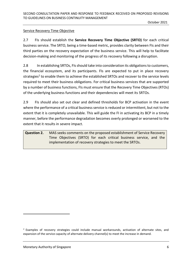#### Service Recovery Time Objective

2.7 FIs should establish the **Service Recovery Time Objective (SRTO)** for each critical business service. The SRTO, being a time-based metric, provides clarity between FIs and their third parties on the recovery expectation of the business service. This will help to facilitate decision-making and monitoring of the progress of its recovery following a disruption.

2.8 In establishing SRTOs, FIs should take into consideration its obligations to customers, the financial ecosystem, and its participants. FIs are expected to put in place recovery strategies<sup>2</sup> to enable them to achieve the established SRTOs and recover to the service levels required to meet their business obligations. For critical business services that are supported by a number of business functions, FIs must ensure that the Recovery Time Objectives (RTOs) of the underlying business functions and their dependencies will meet its SRTOs.

2.9 FIs should also set out clear and defined thresholds for BCP activation in the event where the performance of a critical business service is reduced or intermittent, but not to the extent that it is completely unavailable. This will guide the FI in activating its BCP in a timely manner, before the performance degradation becomes overly prolonged or worsened to the extent that it results in severe impact.

<span id="page-5-0"></span>**Question 2.** MAS seeks comments on the proposed establishment of Service Recovery Time Objectives (SRTO) for each critical business service, and the implementation of recovery strategies to meet the SRTOs.

<sup>&</sup>lt;sup>2</sup> Examples of recovery strategies could include manual workarounds, activation of alternate sites, and expansion of the service capacity of alternate delivery channel(s) to meet the increase in demand.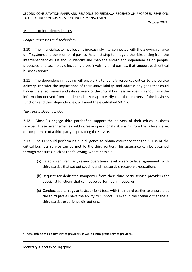#### Mapping of Interdependencies

#### *People, Processes and Technology*

2.10 The financial sector has become increasingly interconnected with the growing reliance on IT systems and common third parties. As a first step to mitigate the risks arising from the interdependencies, FIs should identify and map the end-to-end dependencies on people, processes, and technology, including those involving third parties, that support each critical business service.

2.11 The dependency mapping will enable FIs to identify resources critical to the service delivery, consider the implications of their unavailability, and address any gaps that could hinder the effectiveness and safe recovery of the critical business services. FIs should use the information derived from the dependency map to verify that the recovery of the business functions and their dependencies, will meet the established SRTOs.

#### *Third Party Dependencies*

2.12 Most FIs engage third parties<sup>3</sup> to support the delivery of their critical business services. These arrangements could increase operational risk arising from the failure, delay, or compromise of a third party in providing the service.

2.13 The FI should perform its due diligence to obtain assurance that the SRTOs of the critical business service can be met by the third parties. This assurance can be obtained through measures, such as the following, where possible:

- (a) Establish and regularly review operational level or service level agreements with third parties that set out specific and measurable recovery expectations;
- (b) Request for dedicated manpower from their third party service providers for specialist functions that cannot be performed in-house; or
- (c) Conduct audits, regular tests, or joint tests with their third parties to ensure that the third parties have the ability to support FIs even in the scenario that these third parties experience disruptions.

<sup>&</sup>lt;sup>3</sup> These include third party service providers as well as intra-group service providers.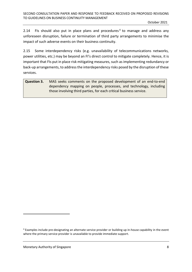2.14  $\;\;$  FIs should also put in place plans and procedures<sup>4</sup> to manage and address any unforeseen disruption, failure or termination of third party arrangements to minimise the impact of such adverse events on their business continuity.

2.15 Some interdependency risks (e.g. unavailability of telecommunications networks, power utilities, etc.) may be beyond an FI's direct control to mitigate completely. Hence, it is important that FIs put in place risk mitigating measures, such as implementing redundancy or back-up arrangements, to address the interdependency risks posed by the disruption of these services.

<span id="page-7-0"></span>**Question 3.** MAS seeks comments on the proposed development of an end-to-end dependency mapping on people, processes, and technology, including those involving third parties, for each critical business service.

<sup>4</sup> Examples include pre-designating an alternate service provider or building up in-house capability in the event where the primary service provider is unavailable to provide immediate support.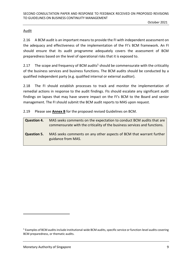#### **Audit**

2.16 A BCM audit is an important means to provide the FI with independent assessment on the adequacy and effectiveness of the implementation of the FI's BCM framework. An FI should ensure that its audit programme adequately covers the assessment of BCM preparedness based on the level of operational risks that it is exposed to.

2.17 The scope and frequency of BCM audits<sup>5</sup> should be commensurate with the criticality of the business services and business functions. The BCM audits should be conducted by a qualified independent party (e.g. qualified internal or external auditor).

2.18 The FI should establish processes to track and monitor the implementation of remedial actions in response to the audit findings. FIs should escalate any significant audit findings on lapses that may have severe impact on the FI's BCM to the Board and senior management. The FI should submit the BCM audit reports to MAS upon request.

2.19 Please see **Annex B** for the proposed revised Guidelines on BCM.

<span id="page-8-1"></span><span id="page-8-0"></span>

| Question 4. | MAS seeks comments on the expectation to conduct BCM audits that are<br>commensurate with the criticality of the business services and functions. |
|-------------|---------------------------------------------------------------------------------------------------------------------------------------------------|
| Question 5. | MAS seeks comments on any other aspects of BCM that warrant further<br>guidance from MAS.                                                         |

<sup>&</sup>lt;sup>5</sup> Examples of BCM audits include institutional-wide BCM audits, specific service or function-level audits covering BCM preparedness, or thematic audits.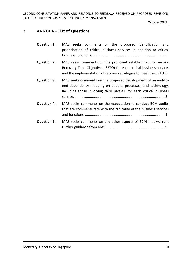## <span id="page-9-0"></span>**3 ANNEX A – List of Questions**

| <b>Question 1.</b> | MAS seeks comments on the proposed identification and<br>prioritisation of critical business services in addition to critical                                                                          |
|--------------------|--------------------------------------------------------------------------------------------------------------------------------------------------------------------------------------------------------|
| <b>Question 2.</b> | MAS seeks comments on the proposed establishment of Service<br>Recovery Time Objectives (SRTO) for each critical business service,<br>and the implementation of recovery strategies to meet the SRTO.6 |
| <b>Question 3.</b> | MAS seeks comments on the proposed development of an end-to-<br>end dependency mapping on people, processes, and technology,<br>including those involving third parties, for each critical business    |
| <b>Question 4.</b> | MAS seeks comments on the expectation to conduct BCM audits<br>that are commensurate with the criticality of the business services                                                                     |
| <b>Question 5.</b> | MAS seeks comments on any other aspects of BCM that warrant                                                                                                                                            |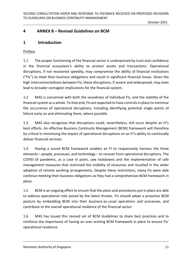## <span id="page-10-1"></span><span id="page-10-0"></span>**4 ANNEX B – Revised Guidelines on BCM**

## **1 Introduction**

#### Preface

1.1 The proper functioning of the financial sector is underpinned by trust and confidence in the financial ecosystem's ability to protect assets and transactions. Operational disruptions, if not recovered speedily, may compromise the ability of financial institutions ("FIs") to meet their business obligations and result in significant financial losses. Given the high interconnectedness between FIs, these disruptions, if severe and widespread, may even lead to broader contagion implications for the financial system.

1.2 MAS is concerned with both the soundness of individual FIs, and the stability of the financial system as a whole. To that end, FIs are expected to have controls in place to minimise the occurrence of operational disruptions, including identifying potential single points of failure early on and eliminating them, where possible.

1.3 MAS also recognises that disruptions could, nevertheless, still occur despite an FI's best efforts. An effective Business Continuity Management (BCM) framework will therefore be critical in minimising the impact of operational disruptions on an FI's ability to continually deliver financial services.

1.4 Having a sound BCM framework enables an FI to responsively harness the three elements – people, processes, and technology – to recover from operational disruptions. The COVID-19 pandemic, as a case in point, saw lockdowns and the implementation of safe management measures that restricted the mobility of resources and resulted in the wider adoption of remote working arrangements. Despite these restrictions, many FIs were able continue meeting their business obligations as they had a comprehensive BCM framework in place.

1.5 BCM is an ongoing effort to ensure that the plans and procedures put in place are able to address operational risks posed by the latest threats. FIs should adopt a proactive BCM posture by embedding BCM into their business-as-usual operations and processes, and contribute to the overall operational resilience of the financial sector.

1.6 MAS has issued this revised set of BCM Guidelines to share best practices and to reinforce the importance of having an over-arching BCM framework in place to ensure FIs' operational resilience.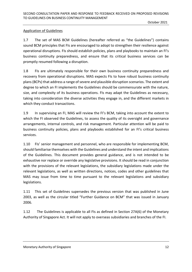#### Application of Guidelines

1.7 The set of MAS BCM Guidelines (hereafter referred as "the Guidelines") contains sound BCM principles that FIs are encouraged to adopt to strengthen their resilience against operational disruptions. FIs should establish policies, plans and playbooks to maintain an FI's business continuity preparedness, and ensure that its critical business services can be promptly resumed following a disruption.

1.8 FIs are ultimately responsible for their own business continuity preparedness and recovery from operational disruptions. MAS expects FIs to have robust business continuity plans(BCPs) that address a range of severe and plausible disruption scenarios. The extent and degree to which an FI implements the Guidelines should be commensurate with the nature, size, and complexity of its business operations. FIs may adapt the Guidelines as necessary, taking into consideration the diverse activities they engage in, and the different markets in which they conduct transactions.

1.9 In supervising an FI, MAS will review the FI's BCM, taking into account the extent to which the FI observed the Guidelines, to assess the quality of its oversight and governance arrangements, internal controls, and risk management. Particular attention will be paid to business continuity policies, plans and playbooks established for an FI's critical business services.

1.10 FIs' senior management and personnel, who are responsible for implementing BCM, should familiarise themselves with the Guidelines and understand the intent and implications of the Guidelines. This document provides general guidance, and is not intended to be exhaustive nor replace or override any legislative provisions. It should be read in conjunction with the provisions of the relevant legislations, the subsidiary legislations made under the relevant legislations, as well as written directions, notices, codes and other guidelines that MAS may issue from time to time pursuant to the relevant legislations and subsidiary legislations.

1.11 This set of Guidelines supersedes the previous version that was published in June 2003, as well as the circular titled "Further Guidance on BCM" that was issued in January 2006.

1.12 The Guidelines is applicable to all FIs as defined in Section 27A(6) of the Monetary Authority of Singapore Act. It will not apply to overseas subsidiaries and branches of the FI.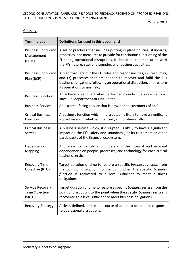#### **Glossary**

| <b>Terminology</b>                                | Definitions (as used in this document)                                                                                                                                                                                                                                               |
|---------------------------------------------------|--------------------------------------------------------------------------------------------------------------------------------------------------------------------------------------------------------------------------------------------------------------------------------------|
| <b>Business Continuity</b><br>Management<br>(BCM) | A set of practices that includes putting in place policies, standards,<br>processes, and measures to provide for continuous functioning of the<br>FI during operational disruptions. It should be commensurate with<br>the FI's nature, size, and complexity of business activities. |
| <b>Business Continuity</b><br>Plan (BCP)          | A plan that sets out the (1) roles and responsibilities, (2) resources,<br>and (3) processes that are needed to recover and fulfil the FI's<br>business obligations following an operational disruption, and restore<br>its operations to normalcy.                                  |
| <b>Business Function</b>                          | An activity or set of activities performed by individual organisational<br>lines (i.e. department or unit) in the FI.                                                                                                                                                                |
| <b>Business Service</b>                           | An external-facing service that is provided to customers of an FI.                                                                                                                                                                                                                   |
| <b>Critical Business</b><br><b>Function</b>       | A business function which, if disrupted, is likely to have a significant<br>impact on an FI, whether financially or non-financially.                                                                                                                                                 |
| <b>Critical Business</b><br>Service               | A business service which, if disrupted, is likely to have a significant<br>impact on the FI's safety and soundness, or its customers or other<br>participants of the financial ecosystem.                                                                                            |
| Dependency<br>Mapping                             | A process to identify and understand the internal and external<br>dependencies on people, processes, and technology for each critical<br>business service.                                                                                                                           |
| <b>Recovery Time</b><br>Objective (RTO)           | Target duration of time to restore a specific business function from<br>the point of disruption, to the point when the specific business<br>function is recovered to a level sufficient to meet business<br>obligations.                                                             |
| Service Recovery<br>Time Objective<br>(SRTO)      | Target duration of time to restore a specific business service from the<br>point of disruption, to the point when the specific business service is<br>recovered to a level sufficient to meet business obligations.                                                                  |
| <b>Recovery Strategy</b>                          | A clear, defined, and tested course of action to be taken in response<br>to operational disruptions.                                                                                                                                                                                 |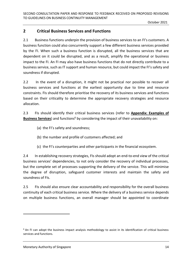## <span id="page-13-0"></span>**2 Critical Business Services and Functions**

2.1 Business functions underpin the provision of business services to an FI's customers. A business function could also concurrently support a few different business services provided by the FI. When such a business function is disrupted, all the business services that are dependent on it could be disrupted, and as a result, amplify the operational or business impact to the FI. An FI may also have business functions that do not directly contribute to a business service, such as IT support and human resource, but could impact the FI's safety and soundness if disrupted.

2.2 In the event of a disruption, it might not be practical nor possible to recover all business services and functions at the earliest opportunity due to time and resource constraints. FIs should therefore prioritise the recovery of its business services and functions based on their criticality to determine the appropriate recovery strategies and resource allocation.

2.3 FIs should identify their critical business services (refer to **Appendix: Examples of Business Services**) and functions<sup>6</sup> by considering the impact of their unavailability on:

- (a) the FI's safety and soundness;
- (b) the number and profile of customers affected; and
- (c) the FI's counterparties and other participants in the financial ecosystem.

2.4 In establishing recovery strategies, FIs should adopt an end-to-end view of the critical business services' dependencies, to not only consider the recovery of individual processes, but the complete set of processes supporting the delivery of the service. This will minimise the degree of disruption, safeguard customer interests and maintain the safety and soundness of FIs.

2.5 FIs should also ensure clear accountability and responsibility for the overall business continuity of each critical business service. Where the delivery of a business service depends on multiple business functions, an overall manager should be appointed to coordinate

 $6$  An FI can adopt the business impact analysis methodology to assist in its identification of critical business services and functions.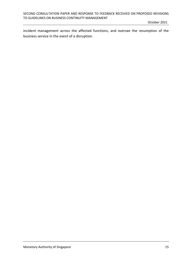incident management across the affected functions, and oversee the resumption of the business service in the event of a disruption.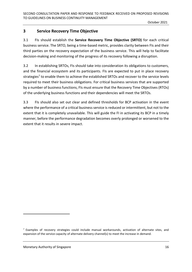## <span id="page-15-0"></span>**3 Service Recovery Time Objective**

3.1 FIs should establish the **Service Recovery Time Objective (SRTO)** for each critical business service. The SRTO, being a time-based metric, provides clarity between FIs and their third parties on the recovery expectation of the business service. This will help to facilitate decision-making and monitoring of the progress of its recovery following a disruption.

3.2 In establishing SRTOs, FIs should take into consideration its obligations to customers, and the financial ecosystem and its participants. FIs are expected to put in place recovery strategies<sup>7</sup> to enable them to achieve the established SRTOs and recover to the service levels required to meet their business obligations. For critical business services that are supported by a number of business functions, FIs must ensure that the Recovery Time Objectives (RTOs) of the underlying business functions and their dependencies will meet the SRTOs.

3.3 FIs should also set out clear and defined thresholds for BCP activation in the event where the performance of a critical business service is reduced or intermittent, but not to the extent that it is completely unavailable. This will guide the FI in activating its BCP in a timely manner, before the performance degradation becomes overly prolonged or worsened to the extent that it results in severe impact.

 $<sup>7</sup>$  Examples of recovery strategies could include manual workarounds, activation of alternate sites, and</sup> expansion of the service capacity of alternate delivery channel(s) to meet the increase in demand.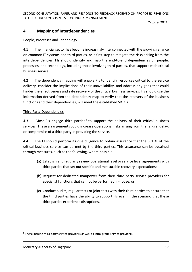## <span id="page-16-0"></span>**4 Mapping of Interdependencies**

#### People, Processes and Technology

4.1 The financial sector has become increasingly interconnected with the growing reliance on common IT systems and third parties. As a first step to mitigate the risks arising from the interdependencies, FIs should identify and map the end-to-end dependencies on people, processes, and technology, including those involving third parties, that support each critical business service.

4.2 The dependency mapping will enable FIs to identify resources critical to the service delivery, consider the implications of their unavailability, and address any gaps that could hinder the effectiveness and safe recovery of the critical business services. FIs should use the information derived from the dependency map to verify that the recovery of the business functions and their dependencies, will meet the established SRTOs.

#### Third Party Dependencies

4.3 Most FIs engage third parties<sup>8</sup> to support the delivery of their critical business services. These arrangements could increase operational risks arising from the failure, delay, or compromise of a third party in providing the service.

4.4 The FI should perform its due diligence to obtain assurance that the SRTOs of the critical business service can be met by the third parties. This assurance can be obtained through measures, such as the following, where possible:

- (a) Establish and regularly review operational level or service level agreements with third parties that set out specific and measurable recovery expectations;
- (b) Request for dedicated manpower from their third party service providers for specialist functions that cannot be performed in-house; or
- (c) Conduct audits, regular tests or joint tests with their third parties to ensure that the third parties have the ability to support FIs even in the scenario that these third parties experience disruptions.

<sup>&</sup>lt;sup>8</sup> These include third party service providers as well as intra-group service providers.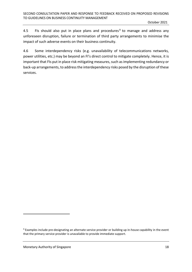4.5 • FIs should also put in place plans and procedures<sup>9</sup> to manage and address any unforeseen disruption, failure or termination of third party arrangements to minimise the impact of such adverse events on their business continuity.

4.6 Some interdependency risks (e.g. unavailability of telecommunications networks, power utilities, etc.) may be beyond an FI's direct control to mitigate completely. Hence, it is important that FIs put in place risk mitigating measures, such as implementing redundancy or back-up arrangements, to address the interdependency risks posed by the disruption of these services.

<sup>&</sup>lt;sup>9</sup> Examples include pre-designating an alternate service provider or building up in-house capability in the event that the primary service provider is unavailable to provide immediate support.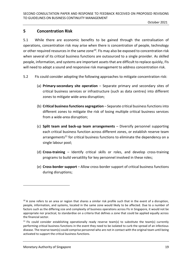## <span id="page-18-0"></span>**5 Concentration Risk**

5.1 While there are economic benefits to be gained through the centralisation of operations, concentration risk may arise when there is concentration of people, technology or other required resources in the same zone<sup>10</sup>. FIs may also be exposed to concentration risk when several of its critical business functions are outsourced to a single provider. As skilled people, information, and systems are important assets that are difficult to replace quickly, FIs will need to adopt a sound and responsive risk management to address concentration risk.

- 5.2 FIs could consider adopting the following approaches to mitigate concentration risk:
	- (a) **Primary-secondary site operation** Separate primary and secondary sites of critical business services or infrastructure (such as data centres) into different zones to mitigate wide-area disruption;
	- (b) **Critical business functions segregation**  Separate critical business functions into different zones to mitigate the risk of losing multiple critical business services from a wide-area disruption;
	- (c) **Split team and back-up team arrangements** Diversify personnel supporting each critical business function across different zones, or establish reserve team arrangements<sup>11</sup> for critical business functions to eliminate the dependency on a single labour pool;
	- (d) **Cross-training** Identify critical skills or roles, and develop cross-training programs to build versatility for key personnel involved in these roles;
	- (e) **Cross-border support** Allow cross-border support of critical business functions during disruptions;

 $10$  A zone refers to an area or region that shares a similar risk profile such that in the event of a disruption, people, information, and systems, located in the same zone would likely to be affected. Due to a number of factors such as the differing size and complexity of business operations across FIs in Singapore, it would not be appropriate nor practical, to standardise on a criteria that defines a zone that could be applied equally across the financial sector.

 $11$  FIs could consider establishing operationally ready reserve team(s) to substitute the team(s) currently performing critical business functions in the event they need to be isolated to curb the spread of an infectious disease. The reserve team(s) could comprise personnel who are not in contact with the original team until being activated to support the critical business functions.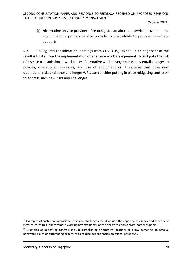(f) **Alternative service provider** - Pre-designate an alternate service provider in the event that the primary service provider is unavailable to provide immediate support;

5.3 Taking into consideration learnings from COVID-19, FIs should be cognisant of the resultant risks from the implementation of alternate work arrangements to mitigate the risk of disease transmission at workplaces. Alternative work arrangements may entail changes to policies, operational processes, and use of equipment or IT systems that pose new operational risks and other challenges $^{12}$ . FIs can consider putting in place mitigating controls $^{13}$ to address such new risks and challenges.

 $12$  Examples of such new operational risks and challenges could include the capacity, resiliency and security of infrastructure to support remote working arrangements, or the ability to enable cross-border support.

 $13$  Examples of mitigating controls include establishing alternative locations to allow personnel to resolve hardware issues or automating processes to reduce dependencies on critical personnel.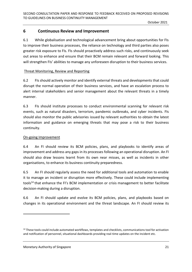## <span id="page-20-0"></span>**6 Continuous Review and Improvement**

6.1 While globalisation and technological advancement bring about opportunities for FIs to improve their business processes, the reliance on technology and third parties also poses greater risk exposure to FIs. FIs should proactively address such risks, and continuously seek out areas to enhance and ensure that their BCM remain relevant and forward looking. This will strengthen FIs' abilities to manage any unforeseen disruption to their business services.

#### Threat Monitoring, Review and Reporting

6.2 FIs should actively monitor and identify external threats and developments that could disrupt the normal operation of their business services, and have an escalation process to alert internal stakeholders and senior management about the relevant threats in a timely manner.

6.3 FIs should institute processes to conduct environmental scanning for relevant risk events, such as natural disasters, terrorism, pandemic outbreaks, and cyber incidents. FIs should also monitor the public advisories issued by relevant authorities to obtain the latest information and guidance on emerging threats that may pose a risk to their business continuity.

#### On-going Improvement

6.4 An FI should review its BCM policies, plans, and playbooks to identify areas of improvement and address any gaps in its processes following an operational disruption. An FI should also draw lessons learnt from its own near misses, as well as incidents in other organisations, to enhance its business continuity preparedness.

6.5 An FI should regularly assess the need for additional tools and automation to enable it to manage an incident or disruption more effectively. These could include implementing tools<sup>14</sup> that enhance the FI's BCM implementation or crisis management to better facilitate decision-making during a disruption.

6.6 An FI should update and evolve its BCM policies, plans, and playbooks based on changes in its operational environment and the threat landscape. An FI should review its

Monetary Authority of Singapore 21 and 20 and 21 and 21 and 22 and 22 and 22 and 22 and 22 and 22 and 22 and 22 and 22 and 22 and 22 and 22 and 22 and 22 and 22 and 22 and 22 and 22 and 22 and 22 and 22 and 22 and 22 and 2

<sup>&</sup>lt;sup>14</sup> These tools could include automated workflows, templates and checklists, communications tool for activation and notification of personnel, situational dashboards providing real-time updates on the incident etc.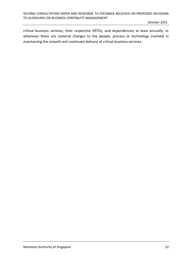critical business services, their respective SRTOs, and dependencies at least annually, or whenever there are material changes to the people, process or technology involved in maintaining the smooth and continued delivery of critical business services.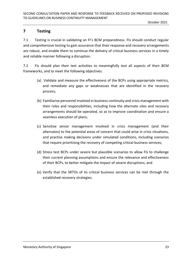## <span id="page-22-0"></span>**7 Testing**

7.1 Testing is crucial in validating an FI's BCM preparedness. FIs should conduct regular and comprehensive testing to gain assurance that their response and recovery arrangements are robust, and enable them to continue the delivery of critical business services in a timely and reliable manner following a disruption.

7.2 FIs should plan their test activities to meaningfully test all aspects of their BCM frameworks, and to meet the following objectives:

- (a) Validate and measure the effectiveness of the BCPs using appropriate metrics, and remediate any gaps or weaknesses that are identified in the recovery process;
- (b) Familiarise personnel involved in business continuity and crisis management with their roles and responsibilities, including how the alternate sites and recovery arrangements should be operated, so as to improve coordination and ensure a seamless execution of plans;
- (c) Sensitise senior management involved in crisis management (and their alternates) to the potential areas of concern that could arise in crisis situations, and practise making decisions under simulated conditions, including scenarios that require prioritising the recovery of competing critical business services;
- (d) Stress test BCPs under severe but plausible scenarios to allow FIs to challenge their current planning assumptions and ensure the relevance and effectiveness of their BCPs, to better mitigate the impact of severe disruptions; and
- (e) Verify that the SRTOs of its critical business services can be met through the established recovery strategies.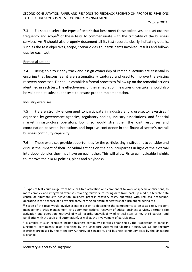7.3 FIs should select the types of tests<sup>15</sup> that best meet these objectives, and set out the frequency and  $scope^{16}$  of these tests to commensurate with the criticality of the business services. An FI should also properly document all its test records, clearly indicating details, such as the test objectives, scope, scenario design, participants involved, results and followups for each test.

#### Remedial actions

7.4 Being able to clearly track and assign ownership of remedial actions are essential in ensuring that lessons learnt are systematically captured and used to improve the existing recovery processes. FIs should establish a formal process to follow up on the remedial actions identified in each test. The effectiveness of the remediation measures undertaken should also be validated at subsequent tests to ensure proper implementation.

#### Industry exercises

7.5 FIs are strongly encouraged to participate in industry and cross-sector exercises<sup>17</sup> organised by government agencies, regulatory bodies, industry associations, and financial market infrastructure operators. Doing so would strengthen the joint responses and coordination between institutions and improve confidence in the financial sector's overall business continuity capability.

7.6 These exercises provide opportunities for the participating institutions to consider and discuss the impact of their individual actions on their counterparties in light of the external interdependencies they may have on each other. This will allow FIs to gain valuable insights to improve their BCM policies, plans and playbooks.

<sup>&</sup>lt;sup>15</sup> Types of test could range from basic call-tree activation and component failover of specific applications, to more complex and integrated exercises covering failovers, restoring data from back-up media, alternate data centre or alternate site activation, business process recovery tests, operating with reduced headcount, operating in the absence of a key third party, relying on onsite generators for a prolonged period etc.

<sup>&</sup>lt;sup>16</sup> Scope of the tests would involve scenario design to determine the components to be tested (e.g. incident management, crisis management, crisis communications, recovery of critical business services, alternate site activation and operation, retrieval of vital records, unavailability of critical staff or key third parties, and familiarity with the tools and automation), as well as the involvement of participants.

 $17$  Examples of such exercises include business continuity exercises organised by the Association of Banks in Singapore, contingency tests organised by the Singapore Automated Clearing House, MEPS+ contingency exercises organised by the Monetary Authority of Singapore, and business continuity tests by the Singapore Exchange.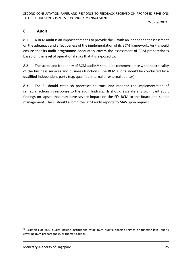## <span id="page-24-0"></span>**8 Audit**

8.1 A BCM audit is an important means to provide the FI with an independent assessment on the adequacy and effectiveness of the implementation of its BCM framework. An FI should ensure that its audit programme adequately covers the assessment of BCM preparedness based on the level of operational risks that it is exposed to.

8.2 The scope and frequency of BCM audits<sup>18</sup> should be commensurate with the criticality of the business services and business functions. The BCM audits should be conducted by a qualified independent party (e.g. qualified internal or external auditor).

8.3 The FI should establish processes to track and monitor the implementation of remedial actions in response to the audit findings. FIs should escalate any significant audit findings on lapses that may have severe impact on the FI's BCM to the Board and senior management. The FI should submit the BCM audit reports to MAS upon request.

<sup>&</sup>lt;sup>18</sup> Examples of BCM audits include institutional-wide BCM audits, specific service or function-level audits covering BCM preparedness, or thematic audits.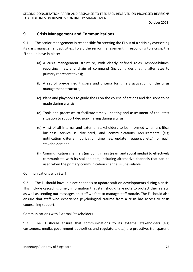## <span id="page-25-0"></span>**9 Crisis Management and Communications**

9.1 The senior management is responsible for steering the FI out of a crisis by overseeing its crisis management activities. To aid the senior management in responding to a crisis, the FI should have in place:

- (a) A crisis management structure, with clearly defined roles, responsibilities, reporting lines, and chain of command (including designating alternates to primary representatives);
- (b) A set of pre-defined triggers and criteria for timely activation of the crisis management structure;
- (c) Plans and playbooks to guide the FI on the course of actions and decisions to be made during a crisis;
- (d) Tools and processes to facilitate timely updating and assessment of the latest situation to support decision-making during a crisis;
- (e) A list of all internal and external stakeholders to be informed when a critical business service is disrupted, and communications requirements (e.g. notification criteria, notification timelines, update frequency etc.) for each stakeholder; and
- (f) Communication channels (including mainstream and social media) to effectively communicate with its stakeholders, including alternative channels that can be used when the primary communication channel is unavailable.

#### Communications with Staff

9.2 The FI should have in place channels to update staff on developments during a crisis. This include cascading timely information that staff should take note to protect their safety, as well as sending out messages on staff welfare to manage staff morale. The FI should also ensure that staff who experience psychological trauma from a crisis has access to crisis counselling support.

#### Communications with External Stakeholders

9.3 The FI should ensure that communications to its external stakeholders (e.g. customers, media, government authorities and regulators, etc.) are proactive, transparent,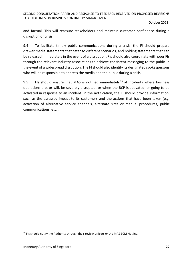and factual. This will reassure stakeholders and maintain customer confidence during a disruption or crisis.

9.4 To facilitate timely public communications during a crisis, the FI should prepare drawer media statements that cater to different scenarios, and holding statements that can be released immediately in the event of a disruption. FIs should also coordinate with peer FIs through the relevant industry associations to achieve consistent messaging to the public in the event of a widespread disruption. The FI should also identify its designated spokespersons who will be responsible to address the media and the public during a crisis.

9.5 FIs should ensure that MAS is notified immediately<sup>19</sup> of incidents where business operations are, or will, be severely disrupted, or when the BCP is activated, or going to be activated in response to an incident. In the notification, the FI should provide information, such as the assessed impact to its customers and the actions that have been taken (e.g. activation of alternative service channels, alternate sites or manual procedures, public communications, etc.).

<sup>&</sup>lt;sup>19</sup> FIs should notify the Authority through their review officers or the MAS BCM Hotline.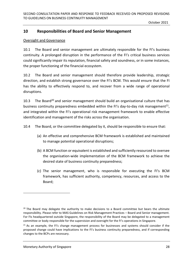## <span id="page-27-0"></span>**10 Responsibilities of Board and Senior Management**

#### Oversight and Governance

10.1 The Board and senior management are ultimately responsible for the FI's business continuity. A prolonged disruption in the performance of the FI's critical business services could significantly impair its reputation, financial safety and soundness, or in some instances, the proper functioning of the financial ecosystem.

10.2 The Board and senior management should therefore provide leadership, strategic direction, and establish strong governance over the FI's BCM. This would ensure that the FI has the ability to effectively respond to, and recover from a wide range of operational disruptions.

10.3 The Board<sup>20</sup> and senior management should build an organisational culture that has business continuity preparedness embedded within the FI's day-to-day risk management<sup>21</sup>, and integrated within the FI's operational risk management framework to enable effective identification and management of the risks across the organisation.

10.4 The Board, or the committee delegated by it, should be responsible to ensure that:

- (a) An effective and comprehensive BCM framework is established and maintained to manage potential operational disruptions;
- (b) A BCM function or equivalent is established and sufficiently resourced to oversee the organisation-wide implementation of the BCM framework to achieve the desired state of business continuity preparedness;
- (c) The senior management, who is responsible for executing the FI's BCM framework, has sufficient authority, competency, resources, and access to the Board;

 $20$  The Board may delegate the authority to make decisions to a Board committee but bears the ultimate responsibility. Please refer to MAS Guidelines on Risk Management Practices – Board and Senior management. For FIs headquartered outside Singapore, the responsibility of the Board may be delegated to a management committee or body responsible for the supervision and oversight for the FI's operations in Singapore.

 $21$  As an example, the FI's change management process for businesses and systems should consider if the proposed change could have implications to the FI's business continuity preparedness, and if corresponding changes to the BCPs are necessary.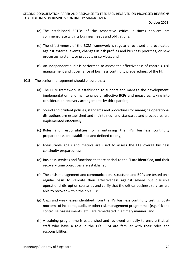- (d) The established SRTOs of the respective critical business services are commensurate with its business needs and obligations;
- (e) The effectiveness of the BCM framework is regularly reviewed and evaluated against external events, changes in risk profiles and business priorities, or new processes, systems, or products or services; and
- (f) An independent audit is performed to assess the effectiveness of controls, risk management and governance of business continuity preparedness of the FI.
- 10.5 The senior management should ensure that:
	- (a) The BCM framework is established to support and manage the development, implementation, and maintenance of effective BCPs and measures, taking into consideration recovery arrangements by third parties;
	- (b) Sound and prudent policies, standards and procedures for managing operational disruptions are established and maintained, and standards and procedures are implemented effectively;
	- (c) Roles and responsibilities for maintaining the FI's business continuity preparedness are established and defined clearly;
	- (d) Measurable goals and metrics are used to assess the FI's overall business continuity preparedness;
	- (e) Business services and functions that are critical to the FI are identified, and their recovery time objectives are established;
	- (f) The crisis management and communications structure, and BCPs are tested on a regular basis to validate their effectiveness against severe but plausible operational disruption scenarios and verify that the critical business services are able to recover within their SRTOs;
	- (g) Gaps and weaknesses identified from the FI's business continuity testing, postmortems of incidents, audit, or other risk management programmes (e.g. risk and control self-assessments, etc.) are remediated in a timely manner; and
	- (h) A training programme is established and reviewed annually to ensure that all staff who have a role in the FI's BCM are familiar with their roles and responsibilities.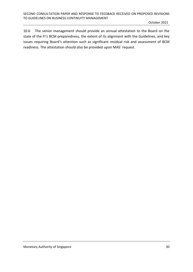10.6 The senior management should provide an annual attestation to the Board on the state of the FI's BCM preparedness, the extent of its alignment with the Guidelines, and key issues requiring Board's attention such as significant residual risk and assessment of BCM readiness. The attestation should also be provided upon MAS' request.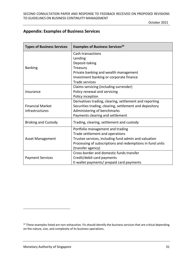## <span id="page-30-0"></span>**Appendix: Examples of Business Services**

| <b>Types of Business Services</b> | <b>Examples of Business Services<sup>22</sup></b>         |
|-----------------------------------|-----------------------------------------------------------|
|                                   | <b>Cash transactions</b>                                  |
|                                   | Lending                                                   |
|                                   | Deposit-taking                                            |
| <b>Banking</b>                    | Treasury                                                  |
|                                   | Private banking and wealth management                     |
|                                   | Investment banking or corporate finance                   |
|                                   | <b>Trade services</b>                                     |
|                                   | Claims servicing (including surrender)                    |
| Insurance                         | Policy renewal and servicing                              |
|                                   | Policy inception                                          |
|                                   | Derivatives trading, clearing, settlement and reporting   |
| <b>Financial Market</b>           | Securities trading, clearing, settlement and depository   |
| infrastructures                   | Administering of benchmarks                               |
|                                   | Payments clearing and settlement                          |
| <b>Broking and Custody</b>        | Trading, clearing, settlement and custody                 |
|                                   | Portfolio management and trading                          |
|                                   | Trade settlement and operations                           |
| <b>Asset Management</b>           | Trustee services, including fund admin and valuation      |
|                                   | Processing of subscriptions and redemptions in fund units |
|                                   | (transfer agency)                                         |
|                                   | Cross-border and domestic funds transfer                  |
| <b>Payment Services</b>           | Credit/debit card payments                                |
|                                   | E-wallet payments/ prepaid card payments                  |

<sup>&</sup>lt;sup>22</sup> These examples listed are non-exhaustive. FIs should identify the business services that are critical depending on the nature, size, and complexity of its business operations.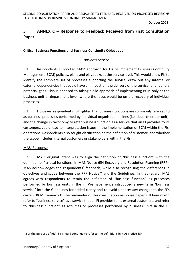## <span id="page-31-0"></span>**5 ANNEX C – Response to Feedback Received from First Consultation Paper**

## **Critical Business Functions and Business Continuity Objectives**

#### *Business Service*

5.1 Respondents supported MAS' approach for FIs to implement Business Continuity Management (BCM) policies, plans and playbooks at the service level. This would allow FIs to identify the complete set of processes supporting the service, draw out any internal or external dependencies that could have an impact on the delivery of the service, and identify potential gaps. This is opposed to taking a silo approach of implementing BCM only at the business unit or department level, where the focus would be on the recovery of individual processes.

5.2 However, respondents highlighted that business functions are commonly referred to as business processes performed by individual organisational lines (i.e. department or unit), and the change in taxonomy to refer business function as a service that an FI provides to its customers, could lead to interpretation issues in the implementation of BCM within the FIs' operations. Respondents also sought clarification on the definition of customer, and whether the scope includes internal customers or stakeholders within the FIs.

#### MAS' Response

5.3 MAS' original intent was to align the definition of "business function" with the definition of "critical functions" in MAS Notice 654 Recovery and Resolution Planning (RRP). MAS acknowledges the respondents' feedback, while also recognising the differences in objectives and scope between the RRP Notice<sup>23</sup> and the Guidelines. In that regard, MAS agrees with respondents to retain the definition of "business function" as processes performed by business units in the FI. We have hence introduced a new term "business service" into the Guidelines for added clarity and to avoid unnecessary changes to the FI's current BCM framework. The remainder of this consultation response paper will henceforth refer to "business service" as a service that an FI provides to its external customers, and refer to "business function" as activities or processes performed by business units in the FI.

<sup>&</sup>lt;sup>23</sup> For the purpose of RRP, FIs should continue to refer to the definitions in MAS Notice 654.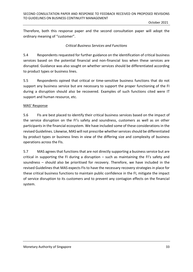Therefore, both this response paper and the second consultation paper will adopt the ordinary meaning of "customer".

#### *Critical Business Services and Functions*

5.4 Respondents requested for further guidance on the identification of critical business services based on the potential financial and non-financial loss when these services are disrupted. Guidance was also sought on whether services should be differentiated according to product types or business lines.

5.5 Respondents opined that critical or time-sensitive business functions that do not support any business service but are necessary to support the proper functioning of the FI during a disruption should also be recovered. Examples of such functions cited were IT support and human resource, etc.

#### MAS' Response

5.6 FIs are best placed to identify their critical business services based on the impact of the service disruption on the FI's safety and soundness, customers as well as on other participants in the financial ecosystem. We have included some of these considerations in the revised Guidelines. Likewise, MAS will not prescribe whether services should be differentiated by product types or business lines in view of the differing size and complexity of business operations across the FIs.

5.7 MAS agrees that functions that are not directly supporting a business service but are critical in supporting the FI during a disruption – such as maintaining the FI's safety and soundness – should also be prioritised for recovery. Therefore, we have included in the revised Guidelines that MAS expects FIs to have the necessary recovery strategies in place for these critical business functions to maintain public confidence in the FI, mitigate the impact of service disruption to its customers and to prevent any contagion effects on the financial system.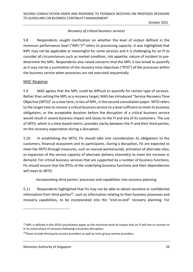## *Recovery of critical business services*

5.8 Respondents sought clarification on whether the level of output defined in the minimum performance level ("MPL")<sup>24</sup> refers to processing capacity. It was highlighted that MPL may not be applicable or meaningful for some services and it is challenging for an FI to consider all circumstances such as market condition, risk appetite, nature of incident to predetermine the MPL. Respondents also raised concerns that the MPL is too broad to quantify as it may not be a summation of the recovery time objectives ("RTO") of the processes within the business service when processes are not executed sequentially.

#### MAS' Response

5.9 MAS agrees that the MPL could be difficult to quantify for certain type of services. Rather than setting the MPL as a recovery target, MAS has introduced "Service Recovery Time Objective (SRTO)" as a new term, in lieu of MPL, in the second consultation paper. SRTO refers to the target time to recover a critical business service to a level sufficient to meet its business obligations, or the acceptable duration before the disruption of a critical business service would result in severe business impact and losses to the FI and any of its customers. The use of SRTO, which is a time-based metric, provides clarity between the FI and their third parties, on the recovery expectation during a disruption.

5.10 In establishing the SRTO, FIs should take into consideration its obligations to the customers, financial ecosystem and its participants. During a disruption, FIs are expected to meet the SRTO through measures, such as manual workarounds, activation of alternate sites, or expansion of the service capacity of alternate delivery channel(s) to meet the increase in demand. For critical business services that are supported by a number of business functions, FIs should ensure that the RTOs of the underlying business functions and their dependencies will meet its SRTO.

#### *Incorporating third parties' processes and capabilities into recovery planning*

5.11 Respondents highlighted that FIs may not be able to obtain sensitive or confidential information from third parties<sup>25</sup>, such as information relating to their business processes and recovery capabilities, to be incorporated into the "end-to-end" recovery planning. For

 $24$  MPL is defined in the 2019 consultation paper as the minimum level of output that an FI will aim to recover to in its initial phase of recovery following a business disruption.

<sup>&</sup>lt;sup>25</sup>These include third party service providers as well as intra-group service providers.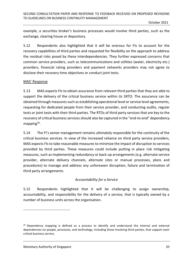example, a securities broker's business processes would involve third parties, such as the exchange, clearing house or depository.

5.12 Respondents also highlighted that it will be onerous for FIs to account for the recovery capabilities of third parties and requested for flexibility on the approach to address the residual risks posed by these interdependencies. They further expressed concerns that common service providers, such as telecommunications and utilities (water, electricity etc.) providers, financial rating providers and payment networks providers may not agree to disclose their recovery time objectives or conduct joint tests.

#### MAS' Response

5.13 MAS expects FIs to obtain assurance from relevant third parties that they are able to support the delivery of the critical business service within its SRTO. The assurance can be obtained through measures such as establishing operational level or service level agreements, requesting for dedicated people from their service provider, and conducting audits, regular tests or joint tests with their third parties. The RTOs of third party services that are key to the recovery of critical business services should also be captured in the "end-to-end" dependency mapping<sup>26</sup>.

5.14 The FI's senior management remains ultimately responsible for the continuity of the critical business services. In view of the increased reliance on third party service providers, MAS expects FIs to take reasonable measures to minimize the impact of disruption to services provided by third parties. These measures could include putting in place risk mitigating measures, such as implementing redundancy or back-up arrangements (e.g. alternate service provider, alternate delivery channels, alternate sites or manual processes, plans and procedures) to manage and address any unforeseen disruption, failure and termination of third party arrangements.

#### *Accountability for a Service*

5.15 Respondents highlighted that it will be challenging to assign ownership, accountability, and responsibility for the delivery of a service, that is typically owned by a number of business units across the organisation.

 $26$  Dependency mapping is defined as a process to identify and understand the internal and external dependencies on people, processes, and technology, including those involving third parties, that support each critical business service.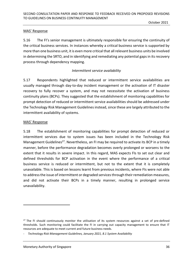#### MAS' Response

5.16 The FI's senior management is ultimately responsible for ensuring the continuity of the critical business services. In instances whereby a critical business service is supported by more than one business unit, it is even more critical that all relevant business units be involved in determining the SRTO, and in identifying and remediating any potential gaps in its recovery process through dependency mapping.

#### *Intermittent service availability*

5.17 Respondents highlighted that reduced or intermittent service availabilities are usually managed through day-to-day incident management or the activation of IT disaster recovery to fully recover a system, and may not necessitate the activation of business continuity plans (BCPs). They suggested that the establishment of monitoring capabilities for prompt detection of reduced or intermittent service availabilities should be addressed under the Technology Risk Management Guidelines instead, since these are largely attributed to the intermittent availability of systems.

#### MAS' Response

5.18 The establishment of monitoring capabilities for prompt detection of reduced or intermittent services due to system issues has been included in the Technology Risk Management Guidelines<sup>27</sup>. Nevertheless, an FI may be required to activate its BCP in a timely manner, before the performance degradation becomes overly prolonged or worsens to the extent that it results in severe impact. In this regard, MAS expects FIs to set out clear and defined thresholds for BCP activation in the event where the performance of a critical business service is reduced or intermittent, but not to the extent that it is completely unavailable. This is based on lessons learnt from previous incidents, where FIs were not able to address the issue of intermittent or degraded services through their remediation measures, and did not activate their BCPs in a timely manner, resulting in prolonged service unavailability.

<sup>&</sup>lt;sup>27</sup> The FI should continuously monitor the utilisation of its system resources against a set of pre-defined thresholds. Such monitoring could facilitate the FI in carrying out capacity management to ensure that IT resources are adequate to meet current and future business needs.

<sup>-</sup> *Technology Risk Management Guidelines, January 2021, 8.1 System Availability*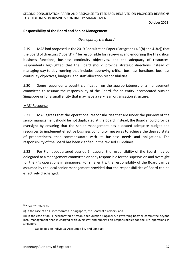#### **Responsibility of the Board and Senior Management**

#### *Oversight by the Board*

5.19 MAS had proposed in the 2019 Consultation Paper (Paragraphs 4.3(b) and 4.3(c)) that the Board of directors ("Board")<sup>28</sup> be responsible for reviewing and endorsing the FI's critical business functions, business continuity objectives, and the adequacy of resources. Respondents highlighted that the Board should provide strategic directions instead of managing day-to-day running that includes approving critical business functions, business continuity objectives, budgets, and staff allocation responsibilities.

5.20 Some respondents sought clarification on the appropriateness of a management committee to assume the responsibility of the Board, for an entity incorporated outside Singapore or for a small entity that may have a very lean organisation structure.

#### MAS' Response

5.21 MAS agrees that the operational responsibilities that are under the purview of the senior management should be not duplicated at the Board. Instead, the Board should provide oversight by ensuring that the senior management has allocated adequate budget and resources to implement effective business continuity measures to achieve the desired state of preparedness, that commensurate with its business needs and obligations. The responsibility of the Board has been clarified in the revised Guidelines.

5.22 For FIs headquartered outside Singapore, the responsibility of the Board may be delegated to a management committee or body responsible for the supervision and oversight for the FI's operations in Singapore. For smaller FIs, the responsibility of the Board can be assumed by the local senior management provided that the responsibilities of Board can be effectively discharged.

<sup>28</sup> "Board" refers to:

<sup>(</sup>i) in the case of an FI incorporated in Singapore, the Board of directors; and

<sup>(</sup>ii) in the case of an FI incorporated or established outside Singapore, a governing body or committee beyond local management that is charged with oversight and supervision responsibilities for the FI's operations in Singapore.

<sup>-</sup> Guidelines on Individual Accountability and Conduct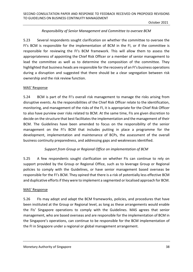#### *Responsibility of Senior Management and Committee to oversee BCM*

5.23 Several respondents sought clarification on whether the committee to oversee the FI's BCM is responsible for the implementation of BCM in the FI, or if the committee is responsible for reviewing the FI's BCM framework. This will allow them to assess the appropriateness of appointing the Chief Risk Officer or a member of senior management to lead the committee as well as to determine the composition of the committee. They highlighted that business heads are responsible for the recovery of an FI's business operations during a disruption and suggested that there should be a clear segregation between risk ownership and the risk review function.

#### MAS' Response

5.24 BCM is part of the FI's overall risk management to manage the risks arising from disruptive events. As the responsibilities of the Chief Risk Officer relate to the identification, monitoring, and management of the risks of the FI, it is appropriate for the Chief Risk Officer to also have purview over risks related to BCM. At the same time, FIs are given discretion to decide on the structure that best facilitates the implementation and the management of their BCM. The Guidelines have been amended to focus on the responsibility of the senior management on the FI's BCM that includes putting in place a programme for the development, implementation and maintenance of BCPs, the assessment of the overall business continuity preparedness, and addressing gaps and weaknesses identified.

#### *Support from Group or Regional Office on implementation of BCM*

5.25 A few respondents sought clarification on whether FIs can continue to rely on support provided by the Group or Regional Office, such as to leverage Group or Regional policies to comply with the Guidelines, or have senior management based overseas be responsible for the FI's BCM. They opined that there is a risk of potentially less effective BCM and duplicative efforts if they were to implement a segmented or localised approach for BCM.

#### MAS' Response

5.26 FIs may adopt and adapt the BCM frameworks, policies, and procedures that have been instituted at the Group or Regional level, as long as these arrangements would enable the FIs' Singapore operations to comply with the Guidelines. MAS agrees that senior management, who are based overseas and are responsible for the implementation of BCM in the Singapore's operations, can continue to be responsible for the BCM implementation of the FI in Singapore under a regional or global management arrangement.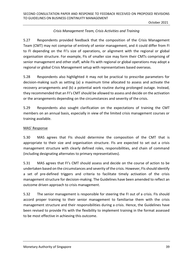## *Crisis Management Team, Crisis Activities and Training*

5.27 Respondents provided feedback that the composition of the Crisis Management Team (CMT) may not comprise of entirely of senior management, and it could differ from FI to FI depending on the FI's size of operations, or alignment with the regional or global organisation structure. For example, FIs of smaller size may form their CMTs comprising of senior management and other staff, while FIs with regional or global operations may adopt a regional or global Crisis Management setup with representatives based overseas.

5.28 Respondents also highlighted it may not be practical to prescribe parameters for decision-making such as setting (a) a maximum time allocated to assess and activate the recovery arrangements and (b) a potential work routine during prolonged outage. Instead, they recommended that an FI's CMT should be allowed to assess and decide on the activation or the arrangements depending on the circumstances and severity of the crisis.

5.29 Respondents also sought clarification on the expectations of training the CMT members on an annual basis, especially in view of the limited crisis management courses or training available.

#### MAS' Response

5.30 MAS agrees that FIs should determine the composition of the CMT that is appropriate to their size and organisation structure. FIs are expected to set out a crisis management structure with clearly defined roles, responsibilities, and chain of command (including designating alternates to primary representatives).

5.31 MAS agrees that FI's CMT should assess and decide on the course of action to be undertaken based on the circumstances and severity of the crisis. However, FIs should identify a set of pre-defined triggers and criteria to facilitate timely activation of the crisis management structure for decision-making. The Guidelines have been amended to reflect an outcome driven approach to crisis management.

5.32 The senior management is responsible for steering the FI out of a crisis. FIs should accord proper training to their senior management to familiarise them with the crisis management structure and their responsibilities during a crisis. Hence, the Guidelines have been revised to provide FIs with the flexibility to implement training in the format assessed to be most effective in achieving this outcome.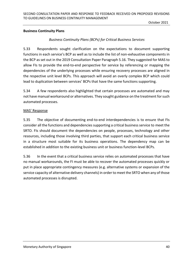#### **Business Continuity Plans**

### *Business Continuity Plans (BCPs) for Critical Business Services*

5.33 Respondents sought clarification on the expectations to document supporting functions in each service's BCP as well as to include the list of non-exhaustive components in the BCP as set out in the 2019 Consultation Paper Paragraph 5.16. They suggested for MAS to allow FIs to provide the end-to-end perspective for service by referencing or mapping the dependencies of the underlying processes while ensuring recovery processes are aligned in the respective unit level BCPs. This approach will avoid an overly complex BCP which could lead to duplication between services' BCPs that have the same functions supporting.

5.34 A few respondents also highlighted that certain processes are automated and may not have manual workaround or alternatives. They sought guidance on the treatment for such automated processes.

#### MAS' Response

5.35 The objective of documenting end-to-end interdependencies is to ensure that FIs consider all the functions and dependencies supporting a critical business service to meet the SRTO. FIs should document the dependencies on people, processes, technology and other resources, including those involving third parties, that support each critical business service in a structure most suitable for its business operations. The dependency map can be established in addition to the existing business unit or business function-level BCPs.

5.36 In the event that a critical business service relies on automated processes that have no manual workarounds, the FI must be able to recover the automated processes quickly or put in place appropriate contingency measures (e.g. alternative systems or expansion of the service capacity of alternative delivery channels) in order to meet the SRTO when any of those automated processes is disrupted.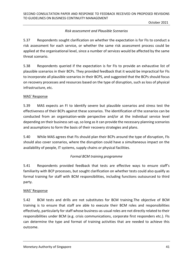## *Risk assessment and Plausible Scenarios*

5.37 Respondents sought clarification on whether the expectation is for FIs to conduct a risk assessment for each service, or whether the same risk assessment process could be applied at the organisational level, since a number of services would be affected by the same threat scenario.

5.38 Respondents queried if the expectation is for FIs to provide an exhaustive list of plausible scenarios in their BCPs. They provided feedback that it would be impractical for FIs to incorporate all plausible scenarios in their BCPS, and suggested that the BCPs should focus on recovery processes and resources based on the type of disruption, such as loss of physical infrastructure, etc.

#### MAS' Response

5.39 MAS expects an FI to identify severe but plausible scenarios and stress test the effectiveness of their BCPs against these scenarios. The identification of the scenarios can be conducted from an organisation-wide perspective and/or at the individual service level depending on their business set-up, so long as it can provide the necessary planning scenarios and assumptions to form the basis of their recovery strategies and plans.

5.40 While MAS agrees that FIs should plan their BCPs around the type of disruption, FIs should also cover scenarios, where the disruption could have a simultaneous impact on the availability of people, IT systems, supply chains or physical facilities.

## *Formal BCM training programme*

5.41 Respondents provided feedback that tests are effective ways to ensure staff's familiarity with BCP processes, but sought clarification on whether tests could also qualify as formal training for staff with BCM responsibilities, including functions outsourced to third party.

## MAS' Response

5.42 BCM tests and drills are not substitutes for BCM training.The objective of BCM training is to ensure that staff are able to execute their BCM roles and responsibilities effectively, particularly for staff whose business-as-usual roles are not directly related to their responsibilities under BCM (e.g. crisis communications, corporate first responders etc.). FIs can determine the type and format of training activities that are needed to achieve this outcome.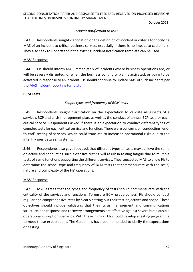## *Incident notification to MAS*

5.43 Respondents sought clarification on the definition of incident or criteria for notifying MAS of an incident to critical business service, especially if there is no impact to customers. They also seek to understand if the existing incident notification template can be used.

#### MAS' Response

5.44 FIs should inform MAS immediately of incidents where business operations are, or will be severely disrupted, or when the business continuity plan is activated, or going to be activated in response to an incident. FIs should continue to update MAS of such incidents per the MAS [incident reporting template.](https://www.mas.gov.sg/regulation/forms-and-templates/incident-reporting-template)

#### **BCM Tests**

## *Scope, type, and frequency of BCM tests*

5.45 Respondents sought clarification on the expectation to validate all aspects of a service's BCP and crisis management plan, as well as the conduct of annual BCP test for each critical service. Respondents asked if there is an expectation to conduct different types of complex tests for each critical service and function. There were concerns on conducting "endto-end" testing of services, which could translate to increased operational risks due to the interlinkages between systems.

5.46 Respondents also gave feedback that different types of tests may achieve the same objective and conducting such extensive testing will result in testing fatigue due to multiple tests of same functions supporting the different services. They suggested MAS to allow FIs to determine the scope, type and frequency of BCM tests that commensurate with the scale, nature and complexity of the FIs' operations.

#### MAS' Response

5.47 MAS agrees that the types and frequency of tests should commensurate with the criticality of the services and functions. To ensure BCM preparedness, FIs should conduct regular and comprehensive tests by clearly setting out their test objectives and scope. These objectives should include validating that their crisis management and communications structure, and response and recovery arrangements are effective against severe but plausible operational disruption scenarios. With these in mind, FIsshould develop a testing programme to meet these expectations. The Guidelines have been amended to clarify the expectations on testing.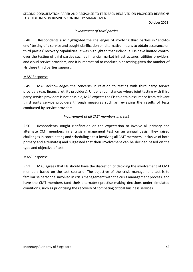## *Involvement of third parties*

5.48 Respondents also highlighted the challenges of involving third parties in "end-toend" testing of a service and sought clarification on alternative means to obtain assurance on third parties' recovery capabilities. It was highlighted that individual FIs have limited control over the testing of third parties such as financial market infrastructures, utilities providers, and cloud service providers, and it is impractical to conduct joint testing given the number of FIs these third parties support.

#### MAS' Response

5.49 MAS acknowledges the concerns in relation to testing with third party service providers (e.g. financial utility providers). Under circumstances where joint testing with third party service providers is not possible, MAS expects the FIs to obtain assurance from relevant third party service providers through measures such as reviewing the results of tests conducted by service providers.

#### *Involvement of all CMT members in a test*

5.50 Respondents sought clarification on the expectation to involve all primary and alternate CMT members in a crisis management test on an annual basis. They raised challenges in coordinating and scheduling a test involving all CMT members (inclusive of both primary and alternates) and suggested that their involvement can be decided based on the type and objective of test.

#### MAS' Response

5.51 MAS agrees that FIs should have the discretion of deciding the involvement of CMT members based on the test scenario. The objective of the crisis management test is to familiarise personnel involved in crisis management with the crisis management process, and have the CMT members (and their alternates) practise making decisions under simulated conditions, such as prioritising the recovery of competing critical business services.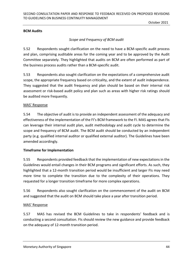#### **BCM Audits**

#### *Scope and Frequency of BCM audit*

5.52 Respondents sought clarification on the need to have a BCM-specific audit process and plan, comprising auditable areas for the coming year and to be approved by the Audit Committee separately. They highlighted that audits on BCM are often performed as part of the business process audits rather than a BCM-specific audit.

5.53 Respondents also sought clarification on the expectations of a comprehensive audit scope, the appropriate frequency based on criticality, and the extent of audit independence. They suggested that the audit frequency and plan should be based on their internal risk assessment or risk-based audit policy and plan such as areas with higher risk ratings should be audited more frequently.

#### MAS' Response

5.54 The objective of audit is to provide an independent assessment of the adequacy and effectiveness of the implementation of the FI's BCM framework to the FI. MAS agrees that FIs can leverage their internal audit plan, audit methodology and audit cycle to determine the scope and frequency of BCM audit. The BCM audit should be conducted by an independent party (e.g. qualified internal auditor or qualified external auditor). The Guidelines have been amended accordingly.

#### **Timeframe for Implementation**

5.55 Respondents provided feedback that the implementation of new expectations in the Guidelines would entail changes in their BCM programs and significant efforts. As such, they highlighted that a 12-month transition period would be insufficient and larger FIs may need more time to complete the transition due to the complexity of their operations. They requested for a longer transition timeframe for more complex operations.

5.56 Respondents also sought clarification on the commencement of the audit on BCM and suggested that the audit on BCM should take place a year after transition period.

#### MAS' Response

5.57 MAS has revised the BCM Guidelines to take in respondents' feedback and is conducting a second consultation. FIs should review the new guidance and provide feedback on the adequacy of 12-month transition period.